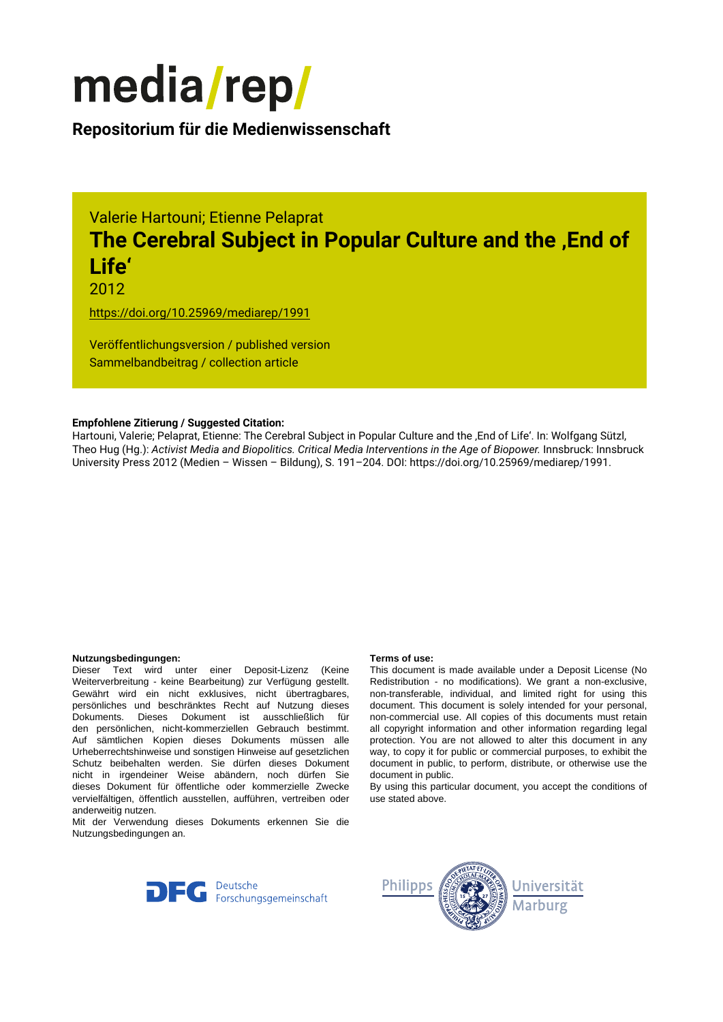

**Repositorium für die [Medienwissenschaft](https://mediarep.org)**

# Valerie Hartouni; Etienne Pelaprat **The Cerebral Subject in Popular Culture and the 'End of Life'**

2012

<https://doi.org/10.25969/mediarep/1991>

Veröffentlichungsversion / published version Sammelbandbeitrag / collection article

#### **Empfohlene Zitierung / Suggested Citation:**

Hartouni, Valerie; Pelaprat, Etienne: The Cerebral Subject in Popular Culture and the 'End of Life'. In: Wolfgang Sützl, Theo Hug (Hg.): *Activist Media and Biopolitics. Critical Media Interventions in the Age of Biopower.* Innsbruck: Innsbruck University Press 2012 (Medien – Wissen – Bildung), S. 191–204. DOI: https://doi.org/10.25969/mediarep/1991.

#### **Nutzungsbedingungen: Terms of use:**

Dieser Text wird unter einer Deposit-Lizenz (Keine Weiterverbreitung - keine Bearbeitung) zur Verfügung gestellt. Gewährt wird ein nicht exklusives, nicht übertragbares, persönliches und beschränktes Recht auf Nutzung dieses Dokuments. Dieses Dokument ist ausschließlich für den persönlichen, nicht-kommerziellen Gebrauch bestimmt. Auf sämtlichen Kopien dieses Dokuments müssen alle Urheberrechtshinweise und sonstigen Hinweise auf gesetzlichen Schutz beibehalten werden. Sie dürfen dieses Dokument nicht in irgendeiner Weise abändern, noch dürfen Sie dieses Dokument für öffentliche oder kommerzielle Zwecke vervielfältigen, öffentlich ausstellen, aufführen, vertreiben oder anderweitig nutzen.

Mit der Verwendung dieses Dokuments erkennen Sie die Nutzungsbedingungen an.

This document is made available under a Deposit License (No Redistribution - no modifications). We grant a non-exclusive, non-transferable, individual, and limited right for using this document. This document is solely intended for your personal, non-commercial use. All copies of this documents must retain all copyright information and other information regarding legal protection. You are not allowed to alter this document in any way, to copy it for public or commercial purposes, to exhibit the document in public, to perform, distribute, or otherwise use the document in public.

By using this particular document, you accept the conditions of use stated above.



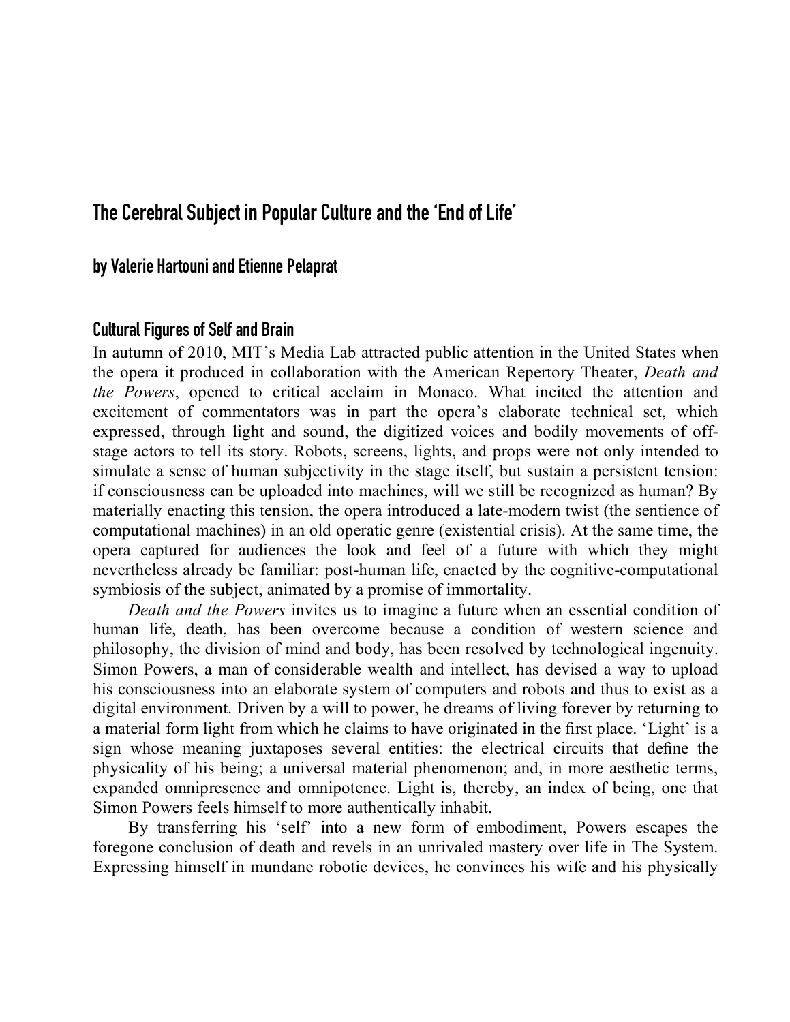# The Cerebral Subject in Popular Culture and the 'End of Life'

# by Valerie Hartouni and Etienne Pelaprat

## Cultural Figures of Self and Brain

In autumn of 2010, MIT's Media Lab attracted public attention in the United States when the opera it produced in collaboration with the American Repertory Theater, *Death and the Powers*, opened to critical acclaim in Monaco. What incited the attention and excitement of commentators was in part the opera's elaborate technical set, which expressed, through light and sound, the digitized voices and bodily movements of offstage actors to tell its story. Robots, screens, lights, and props were not only intended to simulate a sense of human subjectivity in the stage itself, but sustain a persistent tension: if consciousness can be uploaded into machines, will we still be recognized as human? By materially enacting this tension, the opera introduced a late-modern twist (the sentience of computational machines) in an old operatic genre (existential crisis). At the same time, the opera captured for audiences the look and feel of a future with which they might nevertheless already be familiar: post-human life, enacted by the cognitive-computational symbiosis of the subject, animated by a promise of immortality.

*Death and the Powers* invites us to imagine a future when an essential condition of human life, death, has been overcome because a condition of western science and philosophy, the division of mind and body, has been resolved by technological ingenuity. Simon Powers, a man of considerable wealth and intellect, has devised a way to upload his consciousness into an elaborate system of computers and robots and thus to exist as a digital environment. Driven by a will to power, he dreams of living forever by returning to a material form light from which he claims to have originated in the first place. 'Light' is a sign whose meaning juxtaposes several entities: the electrical circuits that define the physicality of his being; a universal material phenomenon; and, in more aesthetic terms, expanded omnipresence and omnipotence. Light is, thereby, an index of being, one that Simon Powers feels himself to more authentically inhabit.

By transferring his 'self' into a new form of embodiment, Powers escapes the foregone conclusion of death and revels in an unrivaled mastery over life in The System. Expressing himself in mundane robotic devices, he convinces his wife and his physically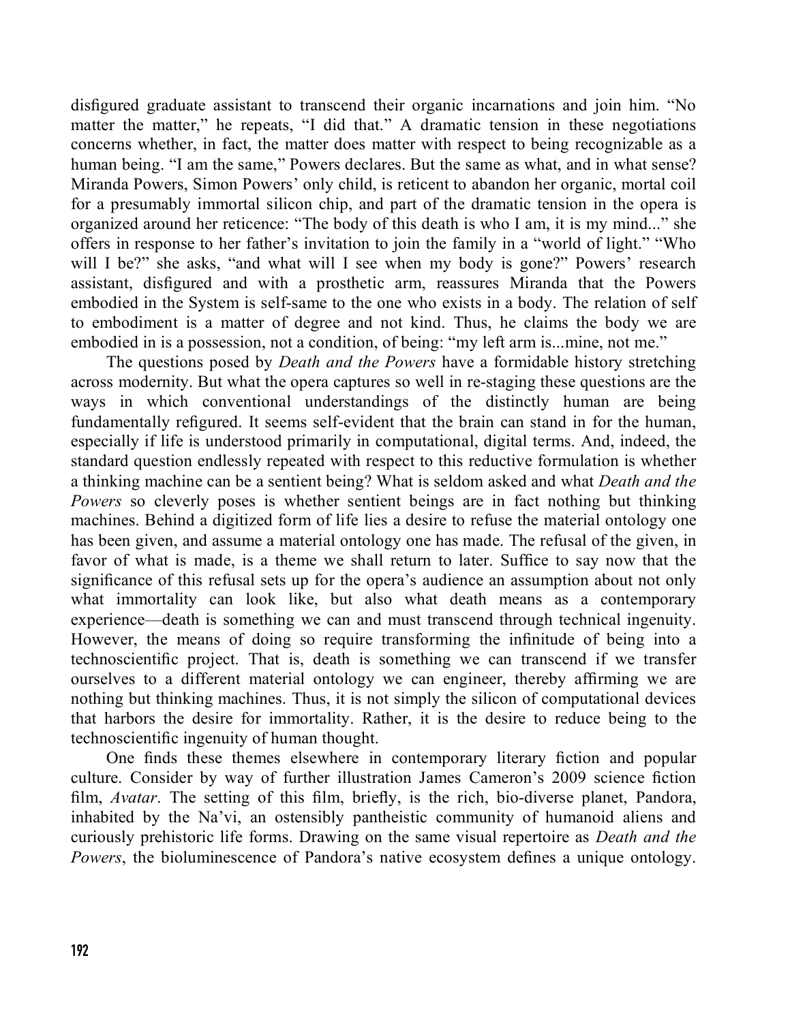disfigured graduate assistant to transcend their organic incarnations and join him. "No matter the matter," he repeats, "I did that." A dramatic tension in these negotiations concerns whether, in fact, the matter does matter with respect to being recognizable as a human being. "I am the same," Powers declares. But the same as what, and in what sense? Miranda Powers, Simon Powers' only child, is reticent to abandon her organic, mortal coil for a presumably immortal silicon chip, and part of the dramatic tension in the opera is organized around her reticence: "The body of this death is who I am, it is my mind..." she offers in response to her father's invitation to join the family in a "world of light." "Who will I be?" she asks, "and what will I see when my body is gone?" Powers' research assistant, disfigured and with a prosthetic arm, reassures Miranda that the Powers embodied in the System is self-same to the one who exists in a body. The relation of self to embodiment is a matter of degree and not kind. Thus, he claims the body we are embodied in is a possession, not a condition, of being: "my left arm is...mine, not me."

The questions posed by *Death and the Powers* have a formidable history stretching across modernity. But what the opera captures so well in re-staging these questions are the ways in which conventional understandings of the distinctly human are being fundamentally refigured. It seems self-evident that the brain can stand in for the human, especially if life is understood primarily in computational, digital terms. And, indeed, the standard question endlessly repeated with respect to this reductive formulation is whether a thinking machine can be a sentient being? What is seldom asked and what *Death and the Powers* so cleverly poses is whether sentient beings are in fact nothing but thinking machines. Behind a digitized form of life lies a desire to refuse the material ontology one has been given, and assume a material ontology one has made. The refusal of the given, in favor of what is made, is a theme we shall return to later. Suffice to say now that the significance of this refusal sets up for the opera's audience an assumption about not only what immortality can look like, but also what death means as a contemporary experience—death is something we can and must transcend through technical ingenuity. However, the means of doing so require transforming the infinitude of being into a technoscientific project. That is, death is something we can transcend if we transfer ourselves to a different material ontology we can engineer, thereby affirming we are nothing but thinking machines. Thus, it is not simply the silicon of computational devices that harbors the desire for immortality. Rather, it is the desire to reduce being to the technoscientific ingenuity of human thought.

One finds these themes elsewhere in contemporary literary fiction and popular culture. Consider by way of further illustration James Cameron's 2009 science fiction film, *Avatar*. The setting of this film, briefly, is the rich, bio-diverse planet, Pandora, inhabited by the Na'vi, an ostensibly pantheistic community of humanoid aliens and curiously prehistoric life forms. Drawing on the same visual repertoire as *Death and the Powers*, the bioluminescence of Pandora's native ecosystem defines a unique ontology.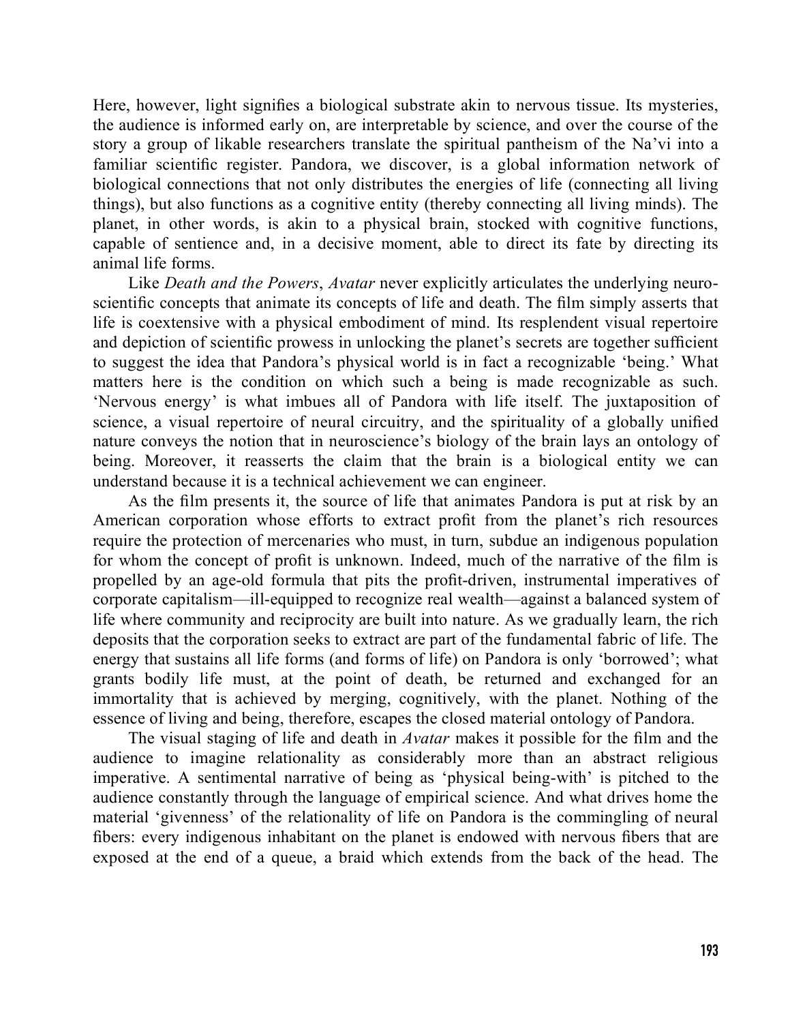Here, however, light signifies a biological substrate akin to nervous tissue. Its mysteries, the audience is informed early on, are interpretable by science, and over the course of the story a group of likable researchers translate the spiritual pantheism of the Na'vi into a familiar scientific register. Pandora, we discover, is a global information network of biological connections that not only distributes the energies of life (connecting all living things), but also functions as a cognitive entity (thereby connecting all living minds). The planet, in other words, is akin to a physical brain, stocked with cognitive functions, capable of sentience and, in a decisive moment, able to direct its fate by directing its animal life forms.

Like *Death and the Powers*, *Avatar* never explicitly articulates the underlying neuroscientific concepts that animate its concepts of life and death. The film simply asserts that life is coextensive with a physical embodiment of mind. Its resplendent visual repertoire and depiction of scientific prowess in unlocking the planet's secrets are together sufficient to suggest the idea that Pandora's physical world is in fact a recognizable 'being.' What matters here is the condition on which such a being is made recognizable as such. 'Nervous energy' is what imbues all of Pandora with life itself. The juxtaposition of science, a visual repertoire of neural circuitry, and the spirituality of a globally unified nature conveys the notion that in neuroscience's biology of the brain lays an ontology of being. Moreover, it reasserts the claim that the brain is a biological entity we can understand because it is a technical achievement we can engineer.

As the film presents it, the source of life that animates Pandora is put at risk by an American corporation whose efforts to extract profit from the planet's rich resources require the protection of mercenaries who must, in turn, subdue an indigenous population for whom the concept of profit is unknown. Indeed, much of the narrative of the film is propelled by an age-old formula that pits the profit-driven, instrumental imperatives of corporate capitalism—ill-equipped to recognize real wealth—against a balanced system of life where community and reciprocity are built into nature. As we gradually learn, the rich deposits that the corporation seeks to extract are part of the fundamental fabric of life. The energy that sustains all life forms (and forms of life) on Pandora is only 'borrowed'; what grants bodily life must, at the point of death, be returned and exchanged for an immortality that is achieved by merging, cognitively, with the planet. Nothing of the essence of living and being, therefore, escapes the closed material ontology of Pandora.

The visual staging of life and death in *Avatar* makes it possible for the film and the audience to imagine relationality as considerably more than an abstract religious imperative. A sentimental narrative of being as 'physical being-with' is pitched to the audience constantly through the language of empirical science. And what drives home the material 'givenness' of the relationality of life on Pandora is the commingling of neural fibers: every indigenous inhabitant on the planet is endowed with nervous fibers that are exposed at the end of a queue, a braid which extends from the back of the head. The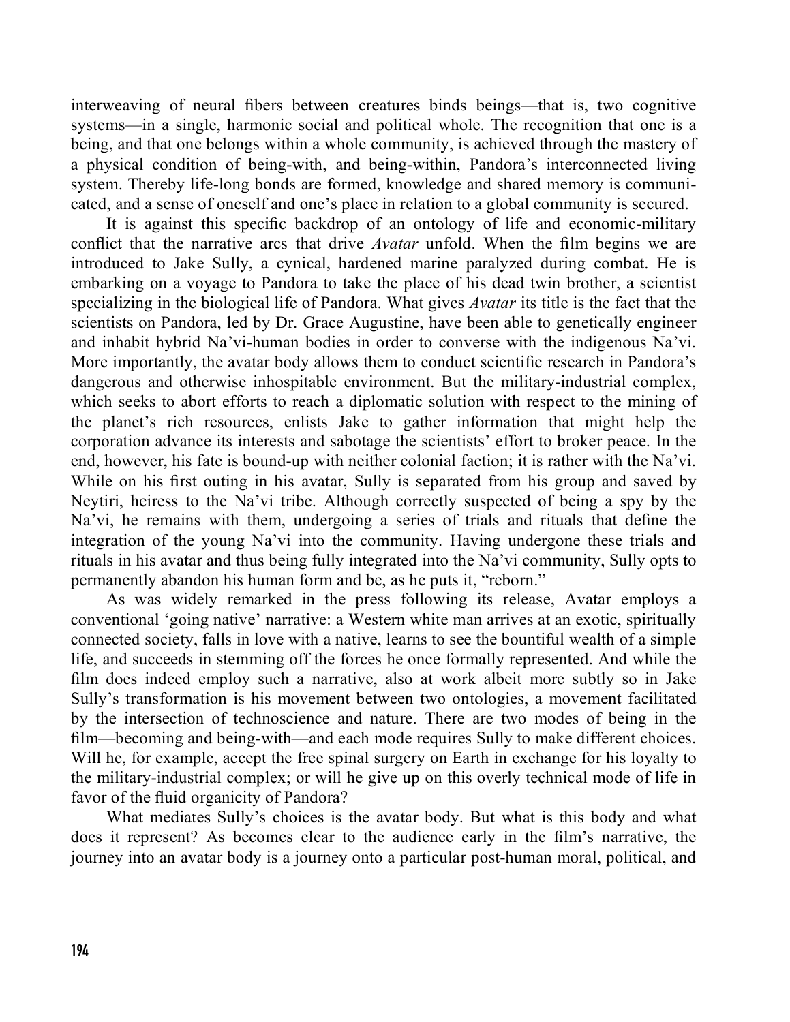interweaving of neural fibers between creatures binds beings—that is, two cognitive systems—in a single, harmonic social and political whole. The recognition that one is a being, and that one belongs within a whole community, is achieved through the mastery of a physical condition of being-with, and being-within, Pandora's interconnected living system. Thereby life-long bonds are formed, knowledge and shared memory is communicated, and a sense of oneself and one's place in relation to a global community is secured.

It is against this specific backdrop of an ontology of life and economic-military conflict that the narrative arcs that drive *Avatar* unfold. When the film begins we are introduced to Jake Sully, a cynical, hardened marine paralyzed during combat. He is embarking on a voyage to Pandora to take the place of his dead twin brother, a scientist specializing in the biological life of Pandora. What gives *Avatar* its title is the fact that the scientists on Pandora, led by Dr. Grace Augustine, have been able to genetically engineer and inhabit hybrid Na'vi-human bodies in order to converse with the indigenous Na'vi. More importantly, the avatar body allows them to conduct scientific research in Pandora's dangerous and otherwise inhospitable environment. But the military-industrial complex, which seeks to abort efforts to reach a diplomatic solution with respect to the mining of the planet's rich resources, enlists Jake to gather information that might help the corporation advance its interests and sabotage the scientists' effort to broker peace. In the end, however, his fate is bound-up with neither colonial faction; it is rather with the Na'vi. While on his first outing in his avatar, Sully is separated from his group and saved by Neytiri, heiress to the Na'vi tribe. Although correctly suspected of being a spy by the Na'vi, he remains with them, undergoing a series of trials and rituals that define the integration of the young Na'vi into the community. Having undergone these trials and rituals in his avatar and thus being fully integrated into the Na'vi community, Sully opts to permanently abandon his human form and be, as he puts it, "reborn."

As was widely remarked in the press following its release, Avatar employs a conventional 'going native' narrative: a Western white man arrives at an exotic, spiritually connected society, falls in love with a native, learns to see the bountiful wealth of a simple life, and succeeds in stemming off the forces he once formally represented. And while the film does indeed employ such a narrative, also at work albeit more subtly so in Jake Sully's transformation is his movement between two ontologies, a movement facilitated by the intersection of technoscience and nature. There are two modes of being in the film—becoming and being-with—and each mode requires Sully to make different choices. Will he, for example, accept the free spinal surgery on Earth in exchange for his loyalty to the military-industrial complex; or will he give up on this overly technical mode of life in favor of the fluid organicity of Pandora?

What mediates Sully's choices is the avatar body. But what is this body and what does it represent? As becomes clear to the audience early in the film's narrative, the journey into an avatar body is a journey onto a particular post-human moral, political, and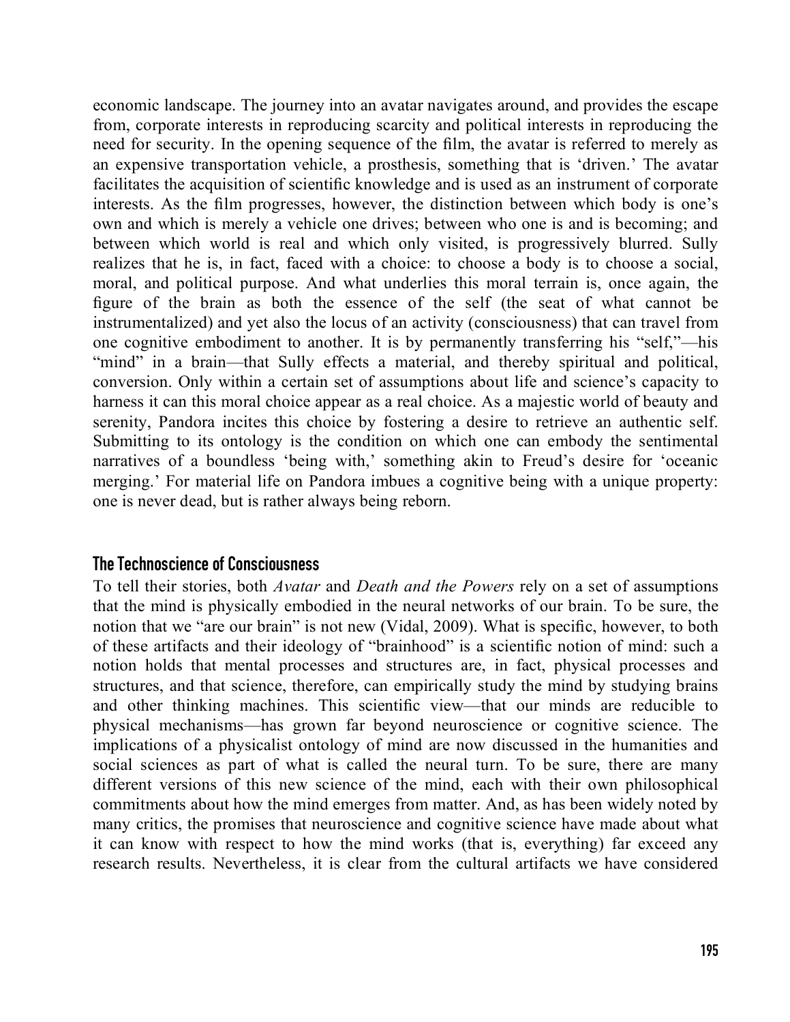economic landscape. The journey into an avatar navigates around, and provides the escape from, corporate interests in reproducing scarcity and political interests in reproducing the need for security. In the opening sequence of the film, the avatar is referred to merely as an expensive transportation vehicle, a prosthesis, something that is 'driven.' The avatar facilitates the acquisition of scientific knowledge and is used as an instrument of corporate interests. As the film progresses, however, the distinction between which body is one's own and which is merely a vehicle one drives; between who one is and is becoming; and between which world is real and which only visited, is progressively blurred. Sully realizes that he is, in fact, faced with a choice: to choose a body is to choose a social, moral, and political purpose. And what underlies this moral terrain is, once again, the figure of the brain as both the essence of the self (the seat of what cannot be instrumentalized) and yet also the locus of an activity (consciousness) that can travel from one cognitive embodiment to another. It is by permanently transferring his "self,"—his "mind" in a brain—that Sully effects a material, and thereby spiritual and political, conversion. Only within a certain set of assumptions about life and science's capacity to harness it can this moral choice appear as a real choice. As a majestic world of beauty and serenity, Pandora incites this choice by fostering a desire to retrieve an authentic self. Submitting to its ontology is the condition on which one can embody the sentimental narratives of a boundless 'being with,' something akin to Freud's desire for 'oceanic merging.' For material life on Pandora imbues a cognitive being with a unique property: one is never dead, but is rather always being reborn.

### The Technoscience of Consciousness

To tell their stories, both *Avatar* and *Death and the Powers* rely on a set of assumptions that the mind is physically embodied in the neural networks of our brain. To be sure, the notion that we "are our brain" is not new (Vidal, 2009). What is specific, however, to both of these artifacts and their ideology of "brainhood" is a scientific notion of mind: such a notion holds that mental processes and structures are, in fact, physical processes and structures, and that science, therefore, can empirically study the mind by studying brains and other thinking machines. This scientific view—that our minds are reducible to physical mechanisms—has grown far beyond neuroscience or cognitive science. The implications of a physicalist ontology of mind are now discussed in the humanities and social sciences as part of what is called the neural turn. To be sure, there are many different versions of this new science of the mind, each with their own philosophical commitments about how the mind emerges from matter. And, as has been widely noted by many critics, the promises that neuroscience and cognitive science have made about what it can know with respect to how the mind works (that is, everything) far exceed any research results. Nevertheless, it is clear from the cultural artifacts we have considered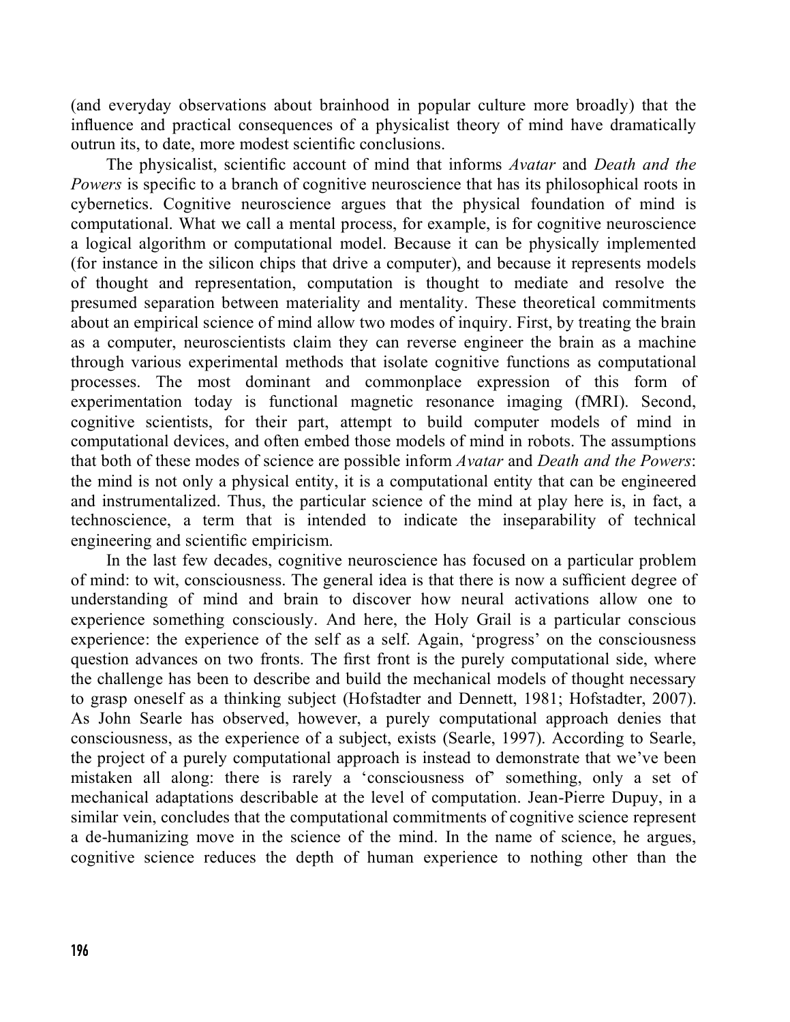(and everyday observations about brainhood in popular culture more broadly) that the influence and practical consequences of a physicalist theory of mind have dramatically outrun its, to date, more modest scientific conclusions.

The physicalist, scientific account of mind that informs *Avatar* and *Death and the Powers* is specific to a branch of cognitive neuroscience that has its philosophical roots in cybernetics. Cognitive neuroscience argues that the physical foundation of mind is computational. What we call a mental process, for example, is for cognitive neuroscience a logical algorithm or computational model. Because it can be physically implemented (for instance in the silicon chips that drive a computer), and because it represents models of thought and representation, computation is thought to mediate and resolve the presumed separation between materiality and mentality. These theoretical commitments about an empirical science of mind allow two modes of inquiry. First, by treating the brain as a computer, neuroscientists claim they can reverse engineer the brain as a machine through various experimental methods that isolate cognitive functions as computational processes. The most dominant and commonplace expression of this form of experimentation today is functional magnetic resonance imaging (fMRI). Second, cognitive scientists, for their part, attempt to build computer models of mind in computational devices, and often embed those models of mind in robots. The assumptions that both of these modes of science are possible inform *Avatar* and *Death and the Powers*: the mind is not only a physical entity, it is a computational entity that can be engineered and instrumentalized. Thus, the particular science of the mind at play here is, in fact, a technoscience, a term that is intended to indicate the inseparability of technical engineering and scientific empiricism.

In the last few decades, cognitive neuroscience has focused on a particular problem of mind: to wit, consciousness. The general idea is that there is now a sufficient degree of understanding of mind and brain to discover how neural activations allow one to experience something consciously. And here, the Holy Grail is a particular conscious experience: the experience of the self as a self. Again, 'progress' on the consciousness question advances on two fronts. The first front is the purely computational side, where the challenge has been to describe and build the mechanical models of thought necessary to grasp oneself as a thinking subject (Hofstadter and Dennett, 1981; Hofstadter, 2007). As John Searle has observed, however, a purely computational approach denies that consciousness, as the experience of a subject, exists (Searle, 1997). According to Searle, the project of a purely computational approach is instead to demonstrate that we've been mistaken all along: there is rarely a 'consciousness of' something, only a set of mechanical adaptations describable at the level of computation. Jean-Pierre Dupuy, in a similar vein, concludes that the computational commitments of cognitive science represent a de-humanizing move in the science of the mind. In the name of science, he argues, cognitive science reduces the depth of human experience to nothing other than the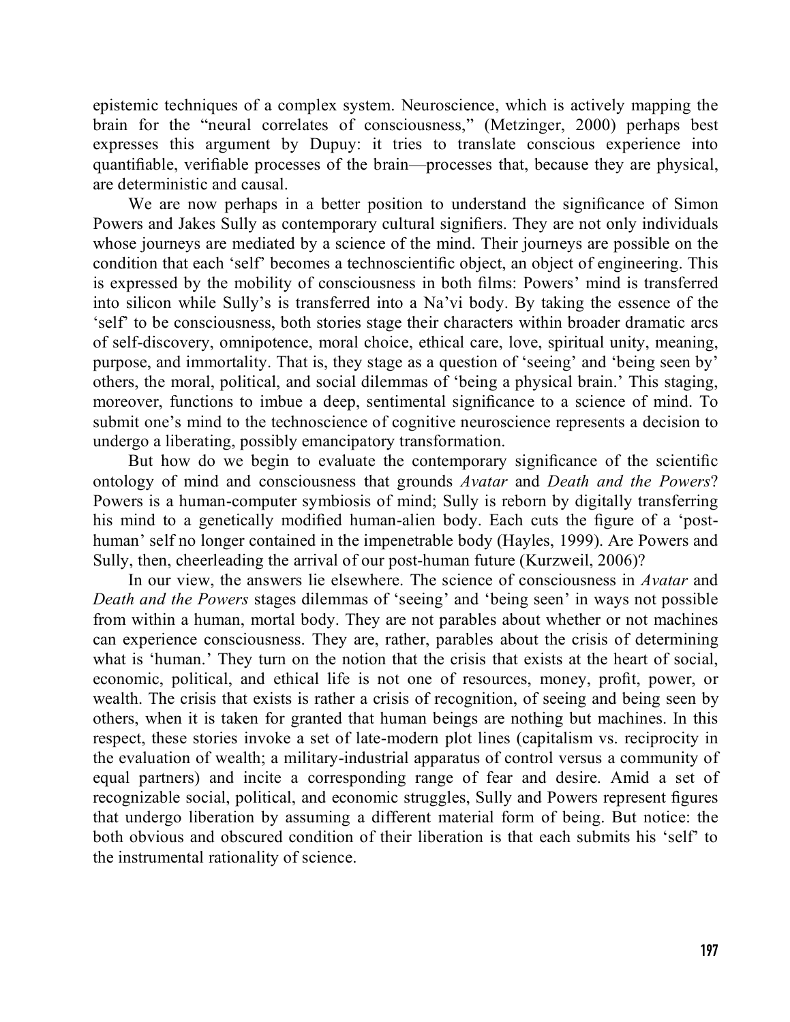epistemic techniques of a complex system. Neuroscience, which is actively mapping the brain for the "neural correlates of consciousness," (Metzinger, 2000) perhaps best expresses this argument by Dupuy: it tries to translate conscious experience into quantifiable, verifiable processes of the brain—processes that, because they are physical, are deterministic and causal.

We are now perhaps in a better position to understand the significance of Simon Powers and Jakes Sully as contemporary cultural signifiers. They are not only individuals whose journeys are mediated by a science of the mind. Their journeys are possible on the condition that each 'self' becomes a technoscientific object, an object of engineering. This is expressed by the mobility of consciousness in both films: Powers' mind is transferred into silicon while Sully's is transferred into a Na'vi body. By taking the essence of the 'self' to be consciousness, both stories stage their characters within broader dramatic arcs of self-discovery, omnipotence, moral choice, ethical care, love, spiritual unity, meaning, purpose, and immortality. That is, they stage as a question of 'seeing' and 'being seen by' others, the moral, political, and social dilemmas of 'being a physical brain.' This staging, moreover, functions to imbue a deep, sentimental significance to a science of mind. To submit one's mind to the technoscience of cognitive neuroscience represents a decision to undergo a liberating, possibly emancipatory transformation.

But how do we begin to evaluate the contemporary significance of the scientific ontology of mind and consciousness that grounds *Avatar* and *Death and the Powers*? Powers is a human-computer symbiosis of mind; Sully is reborn by digitally transferring his mind to a genetically modified human-alien body. Each cuts the figure of a 'posthuman' self no longer contained in the impenetrable body (Hayles, 1999). Are Powers and Sully, then, cheerleading the arrival of our post-human future (Kurzweil, 2006)?

In our view, the answers lie elsewhere. The science of consciousness in *Avatar* and *Death and the Powers* stages dilemmas of 'seeing' and 'being seen' in ways not possible from within a human, mortal body. They are not parables about whether or not machines can experience consciousness. They are, rather, parables about the crisis of determining what is 'human.' They turn on the notion that the crisis that exists at the heart of social, economic, political, and ethical life is not one of resources, money, profit, power, or wealth. The crisis that exists is rather a crisis of recognition, of seeing and being seen by others, when it is taken for granted that human beings are nothing but machines. In this respect, these stories invoke a set of late-modern plot lines (capitalism vs. reciprocity in the evaluation of wealth; a military-industrial apparatus of control versus a community of equal partners) and incite a corresponding range of fear and desire. Amid a set of recognizable social, political, and economic struggles, Sully and Powers represent figures that undergo liberation by assuming a different material form of being. But notice: the both obvious and obscured condition of their liberation is that each submits his 'self' to the instrumental rationality of science.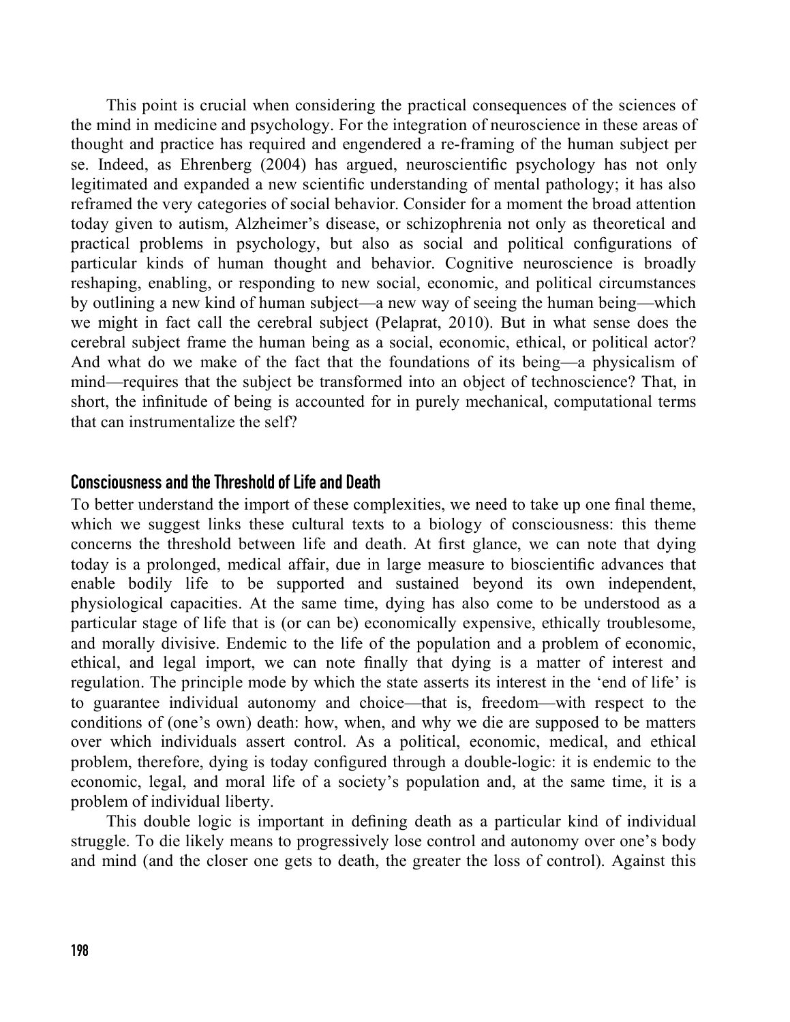This point is crucial when considering the practical consequences of the sciences of the mind in medicine and psychology. For the integration of neuroscience in these areas of thought and practice has required and engendered a re-framing of the human subject per se. Indeed, as Ehrenberg (2004) has argued, neuroscientific psychology has not only legitimated and expanded a new scientific understanding of mental pathology; it has also reframed the very categories of social behavior. Consider for a moment the broad attention today given to autism, Alzheimer's disease, or schizophrenia not only as theoretical and practical problems in psychology, but also as social and political configurations of particular kinds of human thought and behavior. Cognitive neuroscience is broadly reshaping, enabling, or responding to new social, economic, and political circumstances by outlining a new kind of human subject—a new way of seeing the human being—which we might in fact call the cerebral subject (Pelaprat, 2010). But in what sense does the cerebral subject frame the human being as a social, economic, ethical, or political actor? And what do we make of the fact that the foundations of its being—a physicalism of mind—requires that the subject be transformed into an object of technoscience? That, in short, the infinitude of being is accounted for in purely mechanical, computational terms that can instrumentalize the self?

#### Consciousness and the Threshold of Life and Death

To better understand the import of these complexities, we need to take up one final theme, which we suggest links these cultural texts to a biology of consciousness: this theme concerns the threshold between life and death. At first glance, we can note that dying today is a prolonged, medical affair, due in large measure to bioscientific advances that enable bodily life to be supported and sustained beyond its own independent, physiological capacities. At the same time, dying has also come to be understood as a particular stage of life that is (or can be) economically expensive, ethically troublesome, and morally divisive. Endemic to the life of the population and a problem of economic, ethical, and legal import, we can note finally that dying is a matter of interest and regulation. The principle mode by which the state asserts its interest in the 'end of life' is to guarantee individual autonomy and choice—that is, freedom—with respect to the conditions of (one's own) death: how, when, and why we die are supposed to be matters over which individuals assert control. As a political, economic, medical, and ethical problem, therefore, dying is today configured through a double-logic: it is endemic to the economic, legal, and moral life of a society's population and, at the same time, it is a problem of individual liberty.

This double logic is important in defining death as a particular kind of individual struggle. To die likely means to progressively lose control and autonomy over one's body and mind (and the closer one gets to death, the greater the loss of control). Against this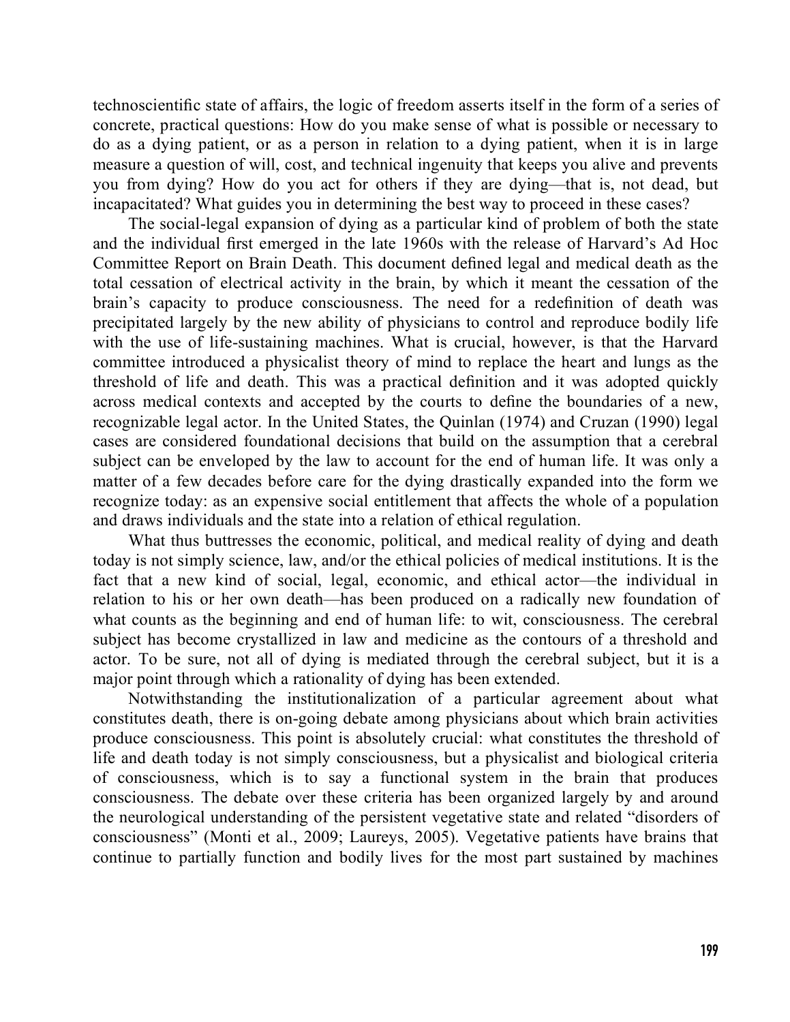technoscientific state of affairs, the logic of freedom asserts itself in the form of a series of concrete, practical questions: How do you make sense of what is possible or necessary to do as a dying patient, or as a person in relation to a dying patient, when it is in large measure a question of will, cost, and technical ingenuity that keeps you alive and prevents you from dying? How do you act for others if they are dying—that is, not dead, but incapacitated? What guides you in determining the best way to proceed in these cases?

The social-legal expansion of dying as a particular kind of problem of both the state and the individual first emerged in the late 1960s with the release of Harvard's Ad Hoc Committee Report on Brain Death. This document defined legal and medical death as the total cessation of electrical activity in the brain, by which it meant the cessation of the brain's capacity to produce consciousness. The need for a redefinition of death was precipitated largely by the new ability of physicians to control and reproduce bodily life with the use of life-sustaining machines. What is crucial, however, is that the Harvard committee introduced a physicalist theory of mind to replace the heart and lungs as the threshold of life and death. This was a practical definition and it was adopted quickly across medical contexts and accepted by the courts to define the boundaries of a new, recognizable legal actor. In the United States, the Quinlan (1974) and Cruzan (1990) legal cases are considered foundational decisions that build on the assumption that a cerebral subject can be enveloped by the law to account for the end of human life. It was only a matter of a few decades before care for the dying drastically expanded into the form we recognize today: as an expensive social entitlement that affects the whole of a population and draws individuals and the state into a relation of ethical regulation.

What thus buttresses the economic, political, and medical reality of dying and death today is not simply science, law, and/or the ethical policies of medical institutions. It is the fact that a new kind of social, legal, economic, and ethical actor—the individual in relation to his or her own death—has been produced on a radically new foundation of what counts as the beginning and end of human life: to wit, consciousness. The cerebral subject has become crystallized in law and medicine as the contours of a threshold and actor. To be sure, not all of dying is mediated through the cerebral subject, but it is a major point through which a rationality of dying has been extended.

Notwithstanding the institutionalization of a particular agreement about what constitutes death, there is on-going debate among physicians about which brain activities produce consciousness. This point is absolutely crucial: what constitutes the threshold of life and death today is not simply consciousness, but a physicalist and biological criteria of consciousness, which is to say a functional system in the brain that produces consciousness. The debate over these criteria has been organized largely by and around the neurological understanding of the persistent vegetative state and related "disorders of consciousness" (Monti et al., 2009; Laureys, 2005). Vegetative patients have brains that continue to partially function and bodily lives for the most part sustained by machines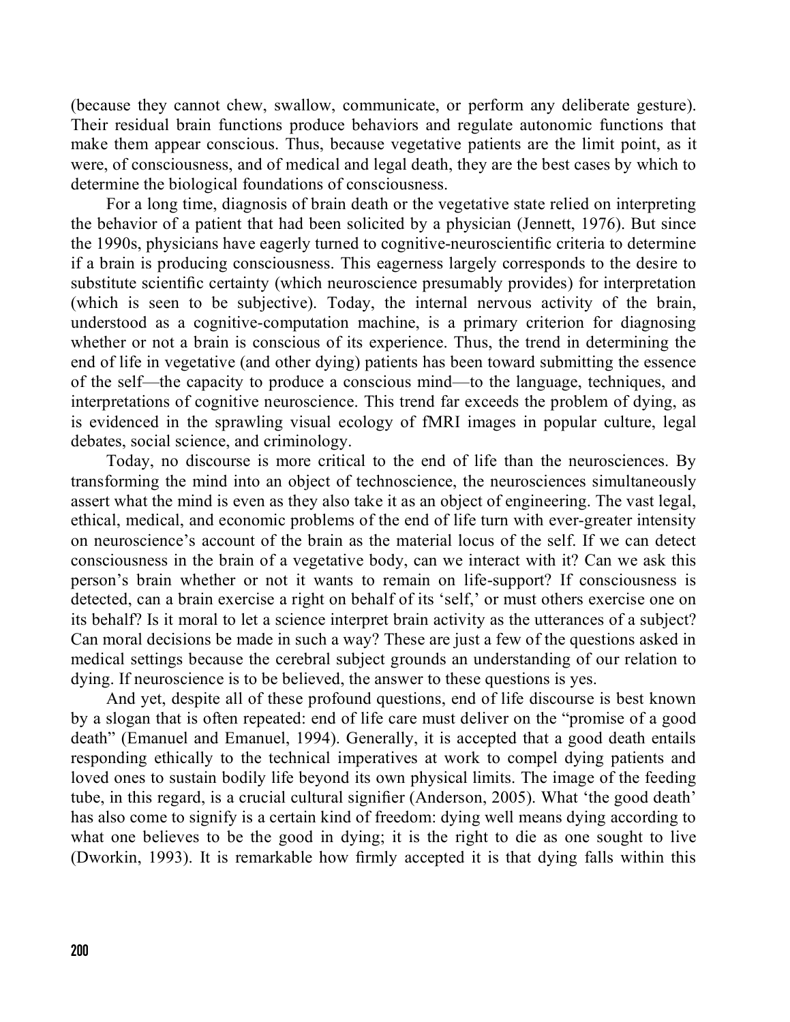(because they cannot chew, swallow, communicate, or perform any deliberate gesture). Their residual brain functions produce behaviors and regulate autonomic functions that make them appear conscious. Thus, because vegetative patients are the limit point, as it were, of consciousness, and of medical and legal death, they are the best cases by which to determine the biological foundations of consciousness.

For a long time, diagnosis of brain death or the vegetative state relied on interpreting the behavior of a patient that had been solicited by a physician (Jennett, 1976). But since the 1990s, physicians have eagerly turned to cognitive-neuroscientific criteria to determine if a brain is producing consciousness. This eagerness largely corresponds to the desire to substitute scientific certainty (which neuroscience presumably provides) for interpretation (which is seen to be subjective). Today, the internal nervous activity of the brain, understood as a cognitive-computation machine, is a primary criterion for diagnosing whether or not a brain is conscious of its experience. Thus, the trend in determining the end of life in vegetative (and other dying) patients has been toward submitting the essence of the self—the capacity to produce a conscious mind—to the language, techniques, and interpretations of cognitive neuroscience. This trend far exceeds the problem of dying, as is evidenced in the sprawling visual ecology of fMRI images in popular culture, legal debates, social science, and criminology.

Today, no discourse is more critical to the end of life than the neurosciences. By transforming the mind into an object of technoscience, the neurosciences simultaneously assert what the mind is even as they also take it as an object of engineering. The vast legal, ethical, medical, and economic problems of the end of life turn with ever-greater intensity on neuroscience's account of the brain as the material locus of the self. If we can detect consciousness in the brain of a vegetative body, can we interact with it? Can we ask this person's brain whether or not it wants to remain on life-support? If consciousness is detected, can a brain exercise a right on behalf of its 'self,' or must others exercise one on its behalf? Is it moral to let a science interpret brain activity as the utterances of a subject? Can moral decisions be made in such a way? These are just a few of the questions asked in medical settings because the cerebral subject grounds an understanding of our relation to dying. If neuroscience is to be believed, the answer to these questions is yes.

And yet, despite all of these profound questions, end of life discourse is best known by a slogan that is often repeated: end of life care must deliver on the "promise of a good death" (Emanuel and Emanuel, 1994). Generally, it is accepted that a good death entails responding ethically to the technical imperatives at work to compel dying patients and loved ones to sustain bodily life beyond its own physical limits. The image of the feeding tube, in this regard, is a crucial cultural signifier (Anderson, 2005). What 'the good death' has also come to signify is a certain kind of freedom: dying well means dying according to what one believes to be the good in dying; it is the right to die as one sought to live (Dworkin, 1993). It is remarkable how firmly accepted it is that dying falls within this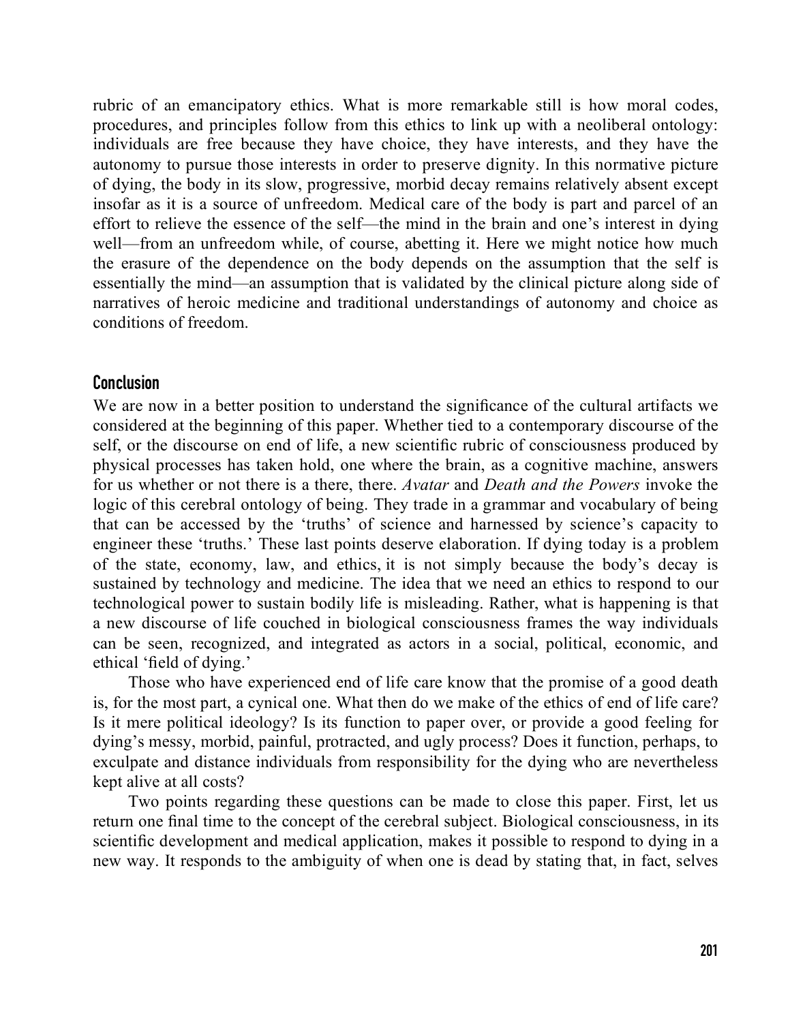rubric of an emancipatory ethics. What is more remarkable still is how moral codes, procedures, and principles follow from this ethics to link up with a neoliberal ontology: individuals are free because they have choice, they have interests, and they have the autonomy to pursue those interests in order to preserve dignity. In this normative picture of dying, the body in its slow, progressive, morbid decay remains relatively absent except insofar as it is a source of unfreedom. Medical care of the body is part and parcel of an effort to relieve the essence of the self—the mind in the brain and one's interest in dying well—from an unfreedom while, of course, abetting it. Here we might notice how much the erasure of the dependence on the body depends on the assumption that the self is essentially the mind—an assumption that is validated by the clinical picture along side of narratives of heroic medicine and traditional understandings of autonomy and choice as conditions of freedom.

### Conclusion

We are now in a better position to understand the significance of the cultural artifacts we considered at the beginning of this paper. Whether tied to a contemporary discourse of the self, or the discourse on end of life, a new scientific rubric of consciousness produced by physical processes has taken hold, one where the brain, as a cognitive machine, answers for us whether or not there is a there, there. *Avatar* and *Death and the Powers* invoke the logic of this cerebral ontology of being. They trade in a grammar and vocabulary of being that can be accessed by the 'truths' of science and harnessed by science's capacity to engineer these 'truths.' These last points deserve elaboration. If dying today is a problem of the state, economy, law, and ethics, it is not simply because the body's decay is sustained by technology and medicine. The idea that we need an ethics to respond to our technological power to sustain bodily life is misleading. Rather, what is happening is that a new discourse of life couched in biological consciousness frames the way individuals can be seen, recognized, and integrated as actors in a social, political, economic, and ethical 'field of dying.'

Those who have experienced end of life care know that the promise of a good death is, for the most part, a cynical one. What then do we make of the ethics of end of life care? Is it mere political ideology? Is its function to paper over, or provide a good feeling for dying's messy, morbid, painful, protracted, and ugly process? Does it function, perhaps, to exculpate and distance individuals from responsibility for the dying who are nevertheless kept alive at all costs?

Two points regarding these questions can be made to close this paper. First, let us return one final time to the concept of the cerebral subject. Biological consciousness, in its scientific development and medical application, makes it possible to respond to dying in a new way. It responds to the ambiguity of when one is dead by stating that, in fact, selves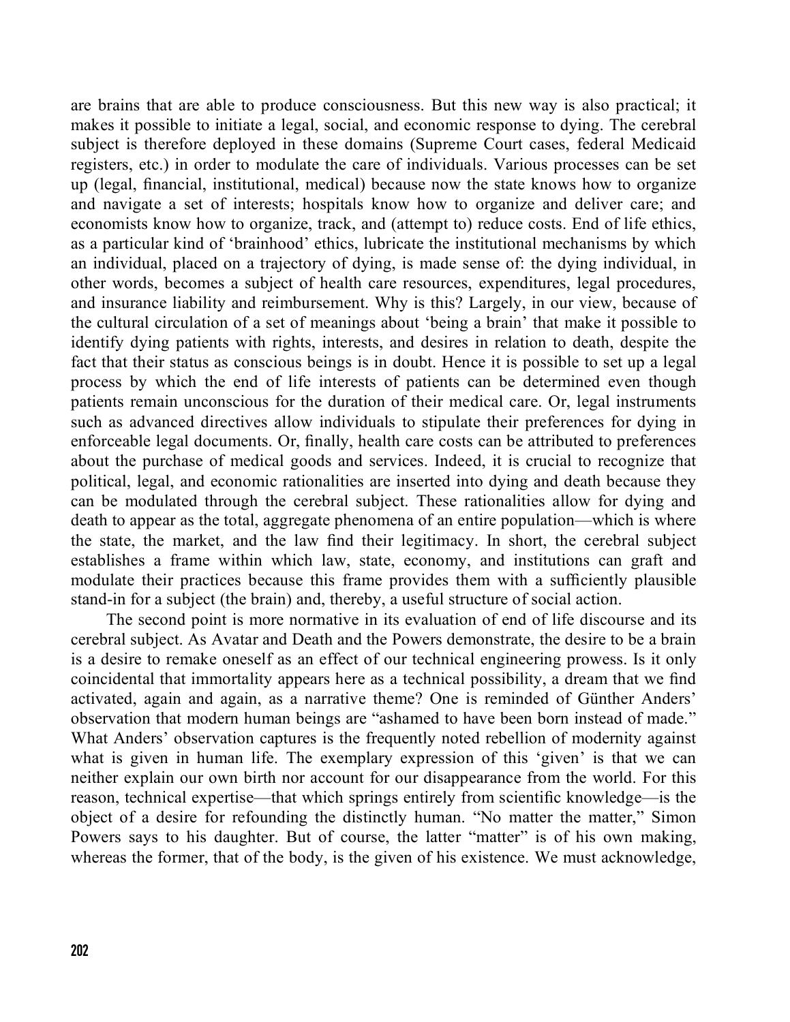are brains that are able to produce consciousness. But this new way is also practical; it makes it possible to initiate a legal, social, and economic response to dying. The cerebral subject is therefore deployed in these domains (Supreme Court cases, federal Medicaid registers, etc.) in order to modulate the care of individuals. Various processes can be set up (legal, financial, institutional, medical) because now the state knows how to organize and navigate a set of interests; hospitals know how to organize and deliver care; and economists know how to organize, track, and (attempt to) reduce costs. End of life ethics, as a particular kind of 'brainhood' ethics, lubricate the institutional mechanisms by which an individual, placed on a trajectory of dying, is made sense of: the dying individual, in other words, becomes a subject of health care resources, expenditures, legal procedures, and insurance liability and reimbursement. Why is this? Largely, in our view, because of the cultural circulation of a set of meanings about 'being a brain' that make it possible to identify dying patients with rights, interests, and desires in relation to death, despite the fact that their status as conscious beings is in doubt. Hence it is possible to set up a legal process by which the end of life interests of patients can be determined even though patients remain unconscious for the duration of their medical care. Or, legal instruments such as advanced directives allow individuals to stipulate their preferences for dying in enforceable legal documents. Or, finally, health care costs can be attributed to preferences about the purchase of medical goods and services. Indeed, it is crucial to recognize that political, legal, and economic rationalities are inserted into dying and death because they can be modulated through the cerebral subject. These rationalities allow for dying and death to appear as the total, aggregate phenomena of an entire population—which is where the state, the market, and the law find their legitimacy. In short, the cerebral subject establishes a frame within which law, state, economy, and institutions can graft and modulate their practices because this frame provides them with a sufficiently plausible stand-in for a subject (the brain) and, thereby, a useful structure of social action.

The second point is more normative in its evaluation of end of life discourse and its cerebral subject. As Avatar and Death and the Powers demonstrate, the desire to be a brain is a desire to remake oneself as an effect of our technical engineering prowess. Is it only coincidental that immortality appears here as a technical possibility, a dream that we find activated, again and again, as a narrative theme? One is reminded of Günther Anders' observation that modern human beings are "ashamed to have been born instead of made." What Anders' observation captures is the frequently noted rebellion of modernity against what is given in human life. The exemplary expression of this 'given' is that we can neither explain our own birth nor account for our disappearance from the world. For this reason, technical expertise—that which springs entirely from scientific knowledge—is the object of a desire for refounding the distinctly human. "No matter the matter," Simon Powers says to his daughter. But of course, the latter "matter" is of his own making, whereas the former, that of the body, is the given of his existence. We must acknowledge,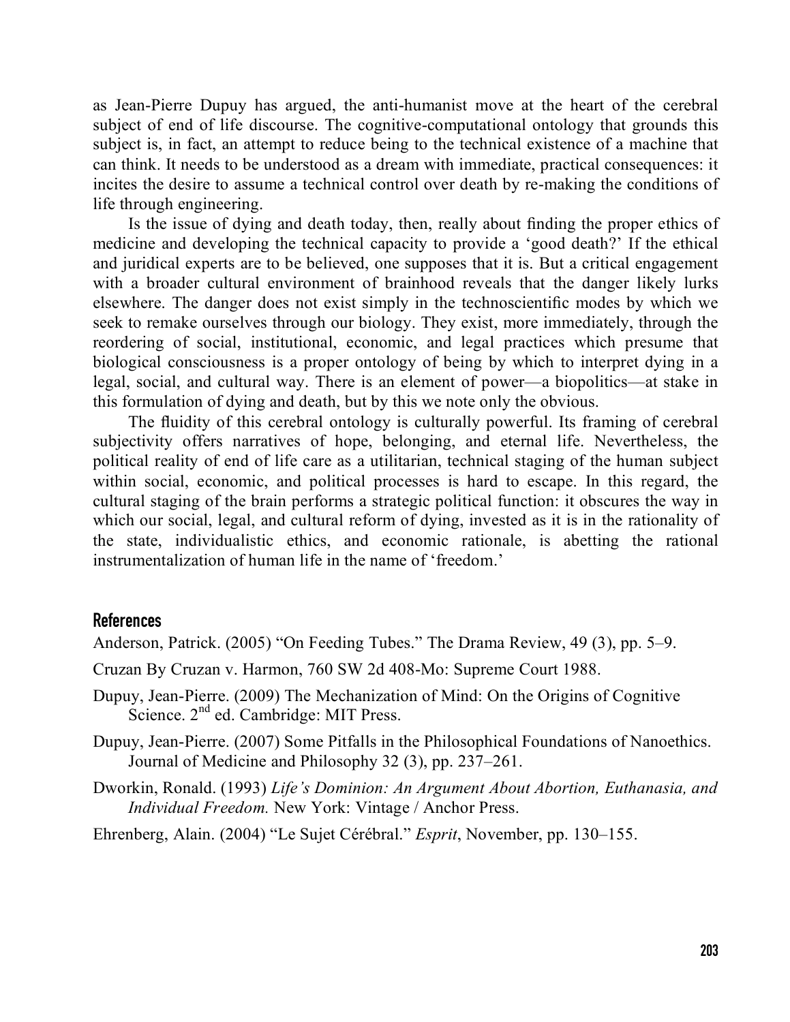as Jean-Pierre Dupuy has argued, the anti-humanist move at the heart of the cerebral subject of end of life discourse. The cognitive-computational ontology that grounds this subject is, in fact, an attempt to reduce being to the technical existence of a machine that can think. It needs to be understood as a dream with immediate, practical consequences: it incites the desire to assume a technical control over death by re-making the conditions of life through engineering.

Is the issue of dying and death today, then, really about finding the proper ethics of medicine and developing the technical capacity to provide a 'good death?' If the ethical and juridical experts are to be believed, one supposes that it is. But a critical engagement with a broader cultural environment of brainhood reveals that the danger likely lurks elsewhere. The danger does not exist simply in the technoscientific modes by which we seek to remake ourselves through our biology. They exist, more immediately, through the reordering of social, institutional, economic, and legal practices which presume that biological consciousness is a proper ontology of being by which to interpret dying in a legal, social, and cultural way. There is an element of power—a biopolitics—at stake in this formulation of dying and death, but by this we note only the obvious.

The fluidity of this cerebral ontology is culturally powerful. Its framing of cerebral subjectivity offers narratives of hope, belonging, and eternal life. Nevertheless, the political reality of end of life care as a utilitarian, technical staging of the human subject within social, economic, and political processes is hard to escape. In this regard, the cultural staging of the brain performs a strategic political function: it obscures the way in which our social, legal, and cultural reform of dying, invested as it is in the rationality of the state, individualistic ethics, and economic rationale, is abetting the rational instrumentalization of human life in the name of 'freedom.'

#### References

Anderson, Patrick. (2005) "On Feeding Tubes." The Drama Review, 49 (3), pp. 5–9.

- Cruzan By Cruzan v. Harmon, 760 SW 2d 408-Mo: Supreme Court 1988.
- Dupuy, Jean-Pierre. (2009) The Mechanization of Mind: On the Origins of Cognitive Science. 2<sup>nd</sup> ed. Cambridge: MIT Press.
- Dupuy, Jean-Pierre. (2007) Some Pitfalls in the Philosophical Foundations of Nanoethics. Journal of Medicine and Philosophy 32 (3), pp. 237–261.
- Dworkin, Ronald. (1993) *Life's Dominion: An Argument About Abortion, Euthanasia, and Individual Freedom.* New York: Vintage / Anchor Press.

Ehrenberg, Alain. (2004) "Le Sujet Cérébral." *Esprit*, November, pp. 130–155.